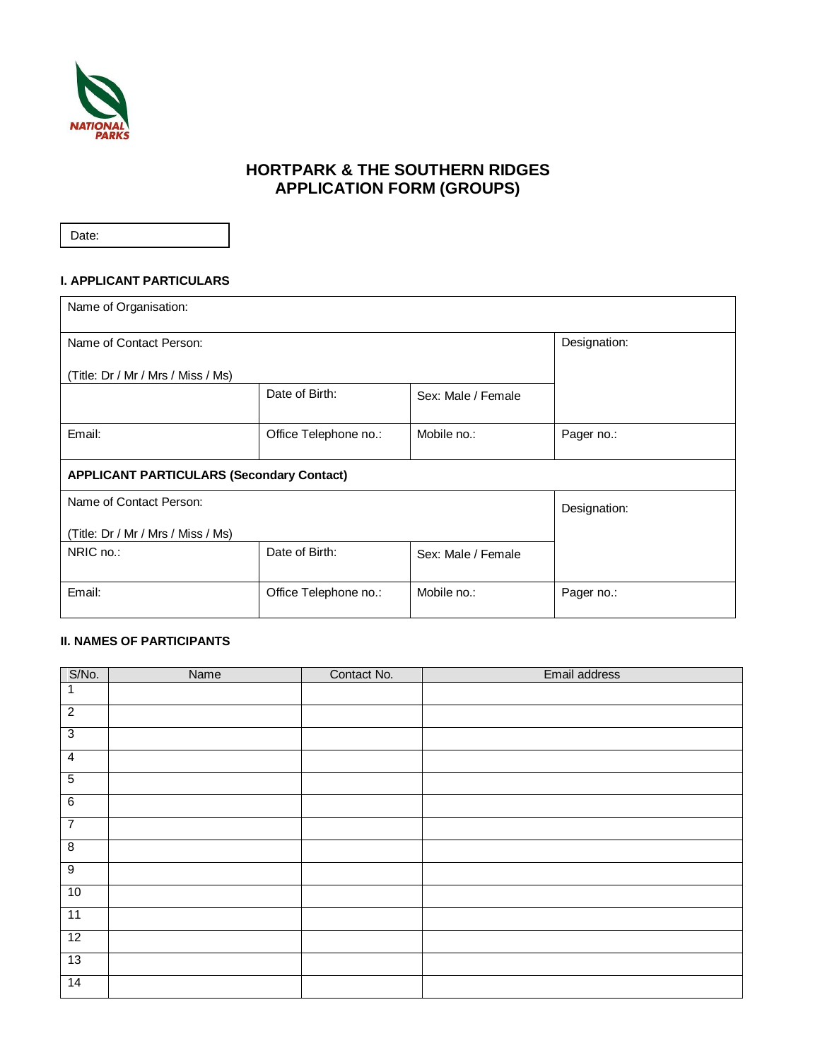

# **HORTPARK & THE SOUTHERN RIDGES APPLICATION FORM (GROUPS)**

Date:

### **I. APPLICANT PARTICULARS**

| Name of Organisation:                            |                       |                    |              |  |  |
|--------------------------------------------------|-----------------------|--------------------|--------------|--|--|
| Name of Contact Person:                          | Designation:          |                    |              |  |  |
| (Title: Dr / Mr / Mrs / Miss / Ms)               |                       |                    |              |  |  |
|                                                  | Date of Birth:        | Sex: Male / Female |              |  |  |
| Email:                                           | Office Telephone no.: | Mobile no.:        | Pager no.:   |  |  |
| <b>APPLICANT PARTICULARS (Secondary Contact)</b> |                       |                    |              |  |  |
| Name of Contact Person:                          |                       |                    | Designation: |  |  |
| (Title: Dr / Mr / Mrs / Miss / Ms)               |                       |                    |              |  |  |
| NRIC no.:                                        | Date of Birth:        | Sex: Male / Female |              |  |  |
| Email:                                           | Office Telephone no.: | Mobile no.:        | Pager no.:   |  |  |

## **II. NAMES OF PARTICIPANTS**

| S/No.           | Name | Contact No. | Email address |
|-----------------|------|-------------|---------------|
| $\mathbf{1}$    |      |             |               |
| $\overline{2}$  |      |             |               |
| $\overline{3}$  |      |             |               |
| $\overline{4}$  |      |             |               |
| $\overline{5}$  |      |             |               |
| $6\overline{6}$ |      |             |               |
| $\overline{7}$  |      |             |               |
| $\overline{8}$  |      |             |               |
| 9               |      |             |               |
| 10              |      |             |               |
| 11              |      |             |               |
| 12              |      |             |               |
| 13              |      |             |               |
| 14              |      |             |               |